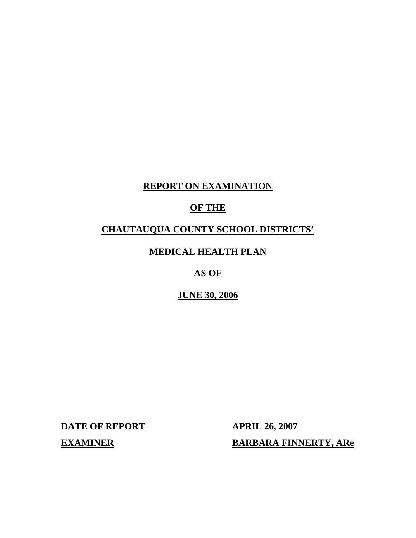# **REPORT ON EXAMINATION**

# **OF THE**

# **CHAUTAUQUA COUNTY SCHOOL DISTRICTS'**

# **MEDICAL HEALTH PLAN**

# **AS OF**

## **JUNE 30, 2006**

**DATE OF REPORT APRIL 26, 2007 EXAMINER** 

**EARBARA FINNERTY, ARE**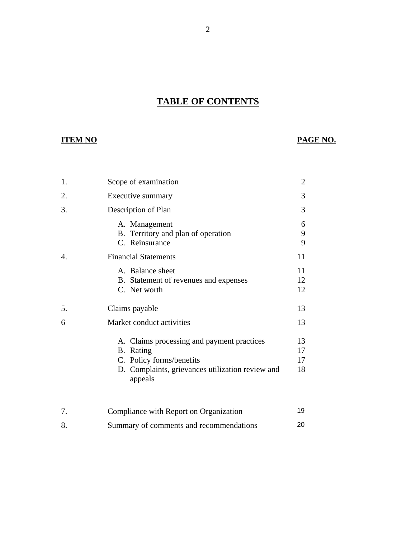# **TABLE OF CONTENTS**

2

# **ITEM NO**

# **PAGE NO.**

| 1. | Scope of examination                                                                                                                               | $\overline{2}$       |
|----|----------------------------------------------------------------------------------------------------------------------------------------------------|----------------------|
| 2. | Executive summary                                                                                                                                  | 3                    |
| 3. | Description of Plan                                                                                                                                | 3                    |
|    | A. Management<br>B. Territory and plan of operation<br>C. Reinsurance                                                                              | 6<br>9<br>9          |
| 4. | <b>Financial Statements</b>                                                                                                                        | 11                   |
|    | A. Balance sheet<br>B. Statement of revenues and expenses<br>C. Net worth                                                                          | 11<br>12<br>12       |
| 5. | Claims payable                                                                                                                                     | 13                   |
| 6  | Market conduct activities                                                                                                                          | 13                   |
|    | A. Claims processing and payment practices<br>B. Rating<br>C. Policy forms/benefits<br>D. Complaints, grievances utilization review and<br>appeals | 13<br>17<br>17<br>18 |
| 7. | Compliance with Report on Organization                                                                                                             | 19                   |

[8. Summary of comments and recommendations](#page-21-0) 20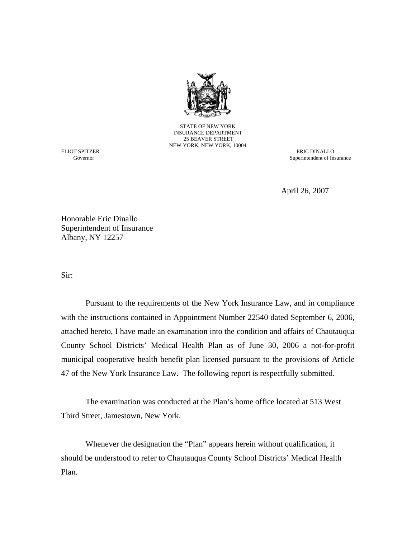

STATE OF NEW YORK INSURANCE DEPARTMENT 25 BEAVER STREET NEW YORK, NEW YORK, 10004

ELIOT SPITZER ERIC DINALLO<br>
Governor Superintendent of Ins Superintendent of Insurance

April 26, 2007

Honorable Eric Dinallo Superintendent of Insurance Albany, NY 12257

Sir:

Pursuant to the requirements of the New York Insurance Law, and in compliance with the instructions contained in Appointment Number 22540 dated September 6, 2006, attached hereto, I have made an examination into the condition and affairs of Chautauqua County School Districts' Medical Health Plan as of June 30, 2006 a not-for-profit municipal cooperative health benefit plan licensed pursuant to the provisions of Article 47 of the New York Insurance Law. The following report is respectfully submitted.

The examination was conducted at the Plan's home office located at 513 West Third Street, Jamestown, New York.

Whenever the designation the "Plan" appears herein without qualification, it should be understood to refer to Chautauqua County School Districts' Medical Health Plan.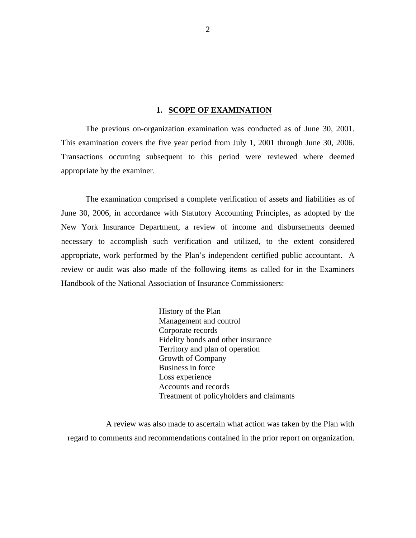#### **1. SCOPE OF EXAMINATION**

The previous on-organization examination was conducted as of June 30, 2001. This examination covers the five year period from July 1, 2001 through June 30, 2006. Transactions occurring subsequent to this period were reviewed where deemed appropriate by the examiner.

The examination comprised a complete verification of assets and liabilities as of June 30, 2006, in accordance with Statutory Accounting Principles, as adopted by the New York Insurance Department, a review of income and disbursements deemed necessary to accomplish such verification and utilized, to the extent considered appropriate, work performed by the Plan's independent certified public accountant. A review or audit was also made of the following items as called for in the Examiners Handbook of the National Association of Insurance Commissioners:

> History of the Plan Management and control Corporate records Fidelity bonds and other insurance Territory and plan of operation Growth of Company Business in force Loss experience Accounts and records Treatment of policyholders and claimants

A review was also made to ascertain what action was taken by the Plan with regard to comments and recommendations contained in the prior report on organization.

2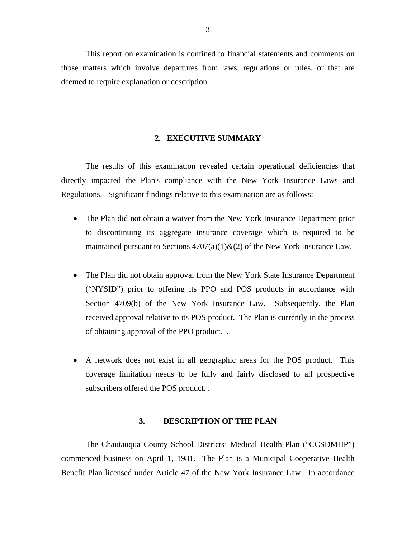<span id="page-4-0"></span>This report on examination is confined to financial statements and comments on those matters which involve departures from laws, regulations or rules, or that are deemed to require explanation or description.

#### **2. EXECUTIVE SUMMARY**

The results of this examination revealed certain operational deficiencies that directly impacted the Plan's compliance with the New York Insurance Laws and Regulations. Significant findings relative to this examination are as follows:

- The Plan did not obtain a waiver from the New York Insurance Department prior to discontinuing its aggregate insurance coverage which is required to be maintained pursuant to Sections  $4707(a)(1) \& (2)$  of the New York Insurance Law.
- The Plan did not obtain approval from the New York State Insurance Department ("NYSID") prior to offering its PPO and POS products in accordance with Section 4709(b) of the New York Insurance Law. Subsequently, the Plan received approval relative to its POS product. The Plan is currently in the process of obtaining approval of the PPO product. .
- A network does not exist in all geographic areas for the POS product. This coverage limitation needs to be fully and fairly disclosed to all prospective subscribers offered the POS product. .

#### **3. DESCRIPTION OF THE PLAN**

The Chautauqua County School Districts' Medical Health Plan ("CCSDMHP") commenced business on April 1, 1981. The Plan is a Municipal Cooperative Health Benefit Plan licensed under Article 47 of the New York Insurance Law. In accordance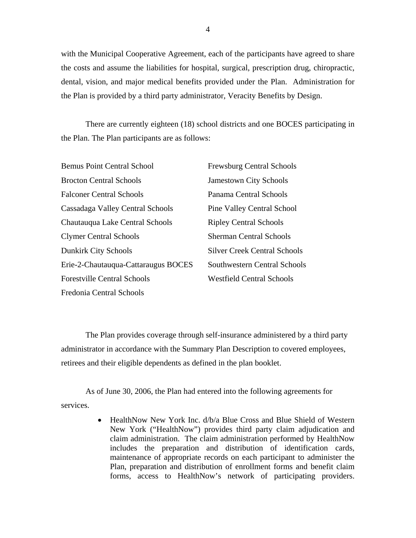with the Municipal Cooperative Agreement, each of the participants have agreed to share the costs and assume the liabilities for hospital, surgical, prescription drug, chiropractic, dental, vision, and major medical benefits provided under the Plan. Administration for the Plan is provided by a third party administrator, Veracity Benefits by Design.

There are currently eighteen (18) school districts and one BOCES participating in the Plan. The Plan participants are as follows:

| <b>Bemus Point Central School</b>   | <b>Frewsburg Central Schools</b>    |
|-------------------------------------|-------------------------------------|
| <b>Brocton Central Schools</b>      | <b>Jamestown City Schools</b>       |
| <b>Falconer Central Schools</b>     | Panama Central Schools              |
| Cassadaga Valley Central Schools    | <b>Pine Valley Central School</b>   |
| Chautauqua Lake Central Schools     | <b>Ripley Central Schools</b>       |
| <b>Clymer Central Schools</b>       | <b>Sherman Central Schools</b>      |
| <b>Dunkirk City Schools</b>         | <b>Silver Creek Central Schools</b> |
| Erie-2-Chautauqua-Cattaraugus BOCES | Southwestern Central Schools        |
| <b>Forestville Central Schools</b>  | <b>Westfield Central Schools</b>    |
| Fredonia Central Schools            |                                     |

The Plan provides coverage through self-insurance administered by a third party administrator in accordance with the Summary Plan Description to covered employees, retirees and their eligible dependents as defined in the plan booklet.

As of June 30, 2006, the Plan had entered into the following agreements for services.

> forms, access to HealthNow's network of participating providers. • HealthNow New York Inc.  $d/b/a$  Blue Cross and Blue Shield of Western New York ("HealthNow") provides third party claim adjudication and claim administration. The claim administration performed by HealthNow includes the preparation and distribution of identification cards, maintenance of appropriate records on each participant to administer the Plan, preparation and distribution of enrollment forms and benefit claim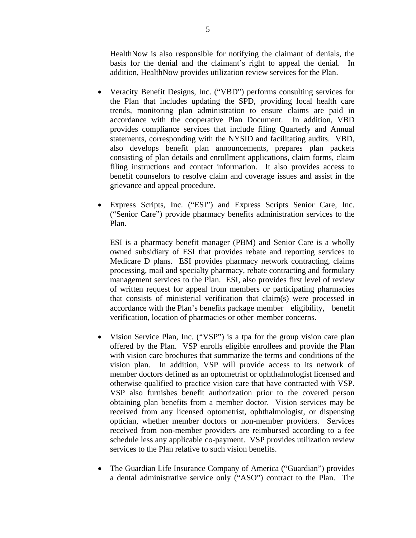HealthNow is also responsible for notifying the claimant of denials, the basis for the denial and the claimant's right to appeal the denial. In addition, HealthNow provides utilization review services for the Plan.

- Veracity Benefit Designs, Inc. ("VBD") performs consulting services for the Plan that includes updating the SPD, providing local health care trends, monitoring plan administration to ensure claims are paid in accordance with the cooperative Plan Document. In addition, VBD provides compliance services that include filing Quarterly and Annual statements, corresponding with the NYSID and facilitating audits. VBD, also develops benefit plan announcements, prepares plan packets consisting of plan details and enrollment applications, claim forms, claim filing instructions and contact information. It also provides access to benefit counselors to resolve claim and coverage issues and assist in the grievance and appeal procedure.
- Express Scripts, Inc. ("ESI") and Express Scripts Senior Care, Inc. ("Senior Care") provide pharmacy benefits administration services to the Plan.

 ESI is a pharmacy benefit manager (PBM) and Senior Care is a wholly owned subsidiary of ESI that provides rebate and reporting services to Medicare D plans. ESI provides pharmacy network contracting, claims processing, mail and specialty pharmacy, rebate contracting and formulary management services to the Plan. ESI, also provides first level of review of written request for appeal from members or participating pharmacies that consists of ministerial verification that claim(s) were processed in accordance with the Plan's benefits package member eligibility, benefit verification, location of pharmacies or other member concerns.

- Vision Service Plan, Inc. ("VSP") is a tpa for the group vision care plan offered by the Plan. VSP enrolls eligible enrollees and provide the Plan with vision care brochures that summarize the terms and conditions of the vision plan. In addition, VSP will provide access to its network of member doctors defined as an optometrist or ophthalmologist licensed and otherwise qualified to practice vision care that have contracted with VSP. VSP also furnishes benefit authorization prior to the covered person obtaining plan benefits from a member doctor. Vision services may be received from any licensed optometrist, ophthalmologist, or dispensing optician, whether member doctors or non-member providers. Services received from non-member providers are reimbursed according to a fee schedule less any applicable co-payment. VSP provides utilization review services to the Plan relative to such vision benefits.
- The Guardian Life Insurance Company of America ("Guardian") provides a dental administrative service only ("ASO") contract to the Plan. The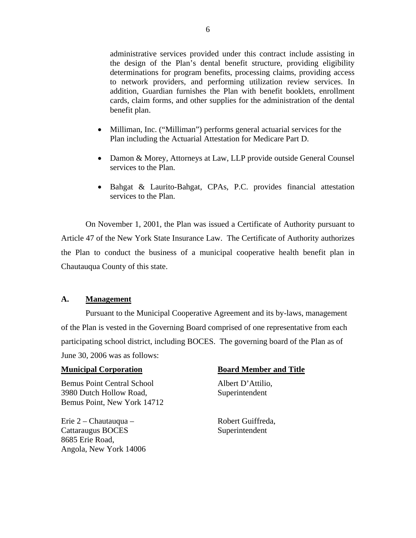<span id="page-7-0"></span>administrative services provided under this contract include assisting in the design of the Plan's dental benefit structure, providing eligibility determinations for program benefits, processing claims, providing access to network providers, and performing utilization review services. In addition, Guardian furnishes the Plan with benefit booklets, enrollment cards, claim forms, and other supplies for the administration of the dental benefit plan.

- Milliman, Inc. ("Milliman") performs general actuarial services for the Plan including the Actuarial Attestation for Medicare Part D.
- Damon & Morey, Attorneys at Law, LLP provide outside General Counsel services to the Plan.
- Bahgat & Laurito-Bahgat, CPAs, P.C. provides financial attestation services to the Plan.

On November 1, 2001, the Plan was issued a Certificate of Authority pursuant to Article 47 of the New York State Insurance Law. The Certificate of Authority authorizes the Plan to conduct the business of a municipal cooperative health benefit plan in Chautauqua County of this state.

#### **A. Management**

Pursuant to the Municipal Cooperative Agreement and its by-laws, management of the Plan is vested in the Governing Board comprised of one representative from each participating school district, including BOCES. The governing board of the Plan as of June 30, 2006 was as follows:

Bemus Point Central School Albert D'Attilio, 3980 Dutch Hollow Road, Superintendent Bemus Point, New York 14712

Erie 2 – Chautauqua – Robert Guiffreda, Cattaraugus BOCES Superintendent 8685 Erie Road, Angola, New York 14006

#### **Municipal Corporation Community Board Member and Title**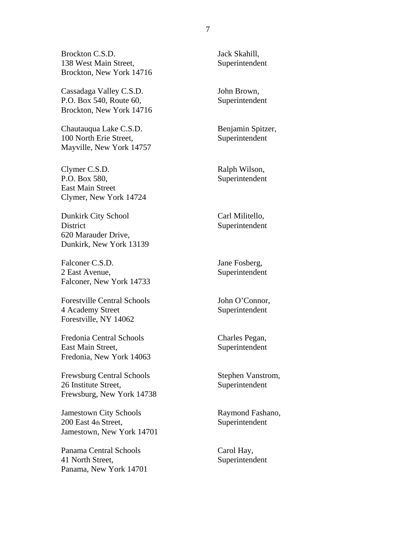Brockton C.S.D. 138 West Main Street, Brockton, New York 14716

Cassadaga Valley C.S.D. P.O. Box 540, Route 60, Brockton, New York 14716

Chautauqua Lake C.S.D. 100 North Erie Street, Mayville, New York 14757

Clymer C.S.D. P.O. Box 580, East Main Street Clymer, New York 14724

Dunkirk City School District 620 Marauder Drive, Dunkirk, New York 13139

Falconer C.S.D. 2 East Avenue, Falconer, New York 14733

Forestville Central Schools 4 Academy Street Forestville, NY 14062

Fredonia Central Schools East Main Street, Fredonia, New York 14063

Frewsburg Central Schools 26 Institute Street, Frewsburg, New York 14738

Jamestown City Schools 200 East 4th Street, Jamestown, New York 14701

Panama Central Schools 41 North Street, Panama, New York 14701 Jack Skahill, Superintendent

John Brown, Superintendent

Benjamin Spitzer, Superintendent

Ralph Wilson, Superintendent

Carl Militello, Superintendent

Jane Fosberg, Superintendent

John O'Connor, Superintendent

Charles Pegan, Superintendent

Stephen Vanstrom, Superintendent

Raymond Fashano, Superintendent

Carol Hay, Superintendent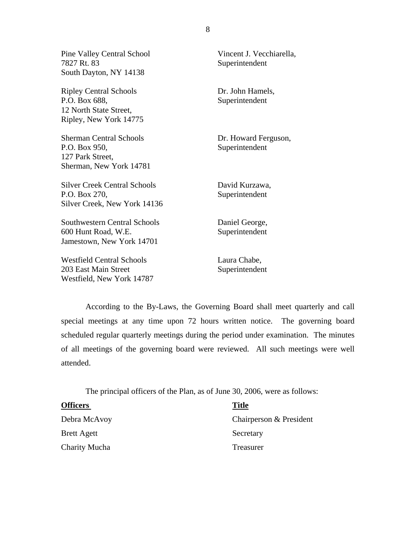| <b>Pine Valley Central School</b><br>7827 Rt. 83                                                   | Vincent J. Vecchiarella,<br>Superintendent |
|----------------------------------------------------------------------------------------------------|--------------------------------------------|
| South Dayton, NY 14138                                                                             |                                            |
| <b>Ripley Central Schools</b><br>P.O. Box 688,<br>12 North State Street,<br>Ripley, New York 14775 | Dr. John Hamels,<br>Superintendent         |
| <b>Sherman Central Schools</b><br>P.O. Box 950,<br>127 Park Street,<br>Sherman, New York 14781     | Dr. Howard Ferguson,<br>Superintendent     |
| <b>Silver Creek Central Schools</b><br>P.O. Box 270,<br>Silver Creek, New York 14136               | David Kurzawa,<br>Superintendent           |
| <b>Southwestern Central Schools</b><br>600 Hunt Road, W.E.<br>Jamestown, New York 14701            | Daniel George,<br>Superintendent           |
| <b>Westfield Central Schools</b><br>203 East Main Street<br>Westfield, New York 14787              | Laura Chabe,<br>Superintendent             |

According to the By-Laws, the Governing Board shall meet quarterly and call special meetings at any time upon 72 hours written notice. The governing board scheduled regular quarterly meetings during the period under examination. The minutes of all meetings of the governing board were reviewed. All such meetings were well attended.

The principal officers of the Plan, as of June 30, 2006, were as follows:

| <b>Officers</b>      | <b>Title</b>            |
|----------------------|-------------------------|
| Debra McAvoy         | Chairperson & President |
| <b>Brett Agett</b>   | Secretary               |
| <b>Charity Mucha</b> | Treasurer               |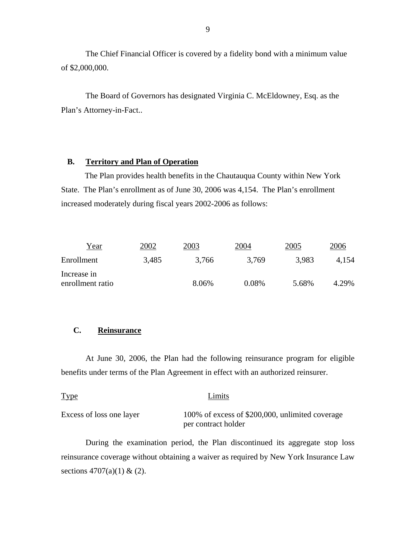The Chief Financial Officer is covered by a fidelity bond with a minimum value of \$2,000,000.

The Board of Governors has designated Virginia C. McEldowney, Esq. as the Plan's Attorney-in-Fact..

#### **B. Territory and Plan of Operation**

The Plan provides health benefits in the Chautauqua County within New York State. The Plan's enrollment as of June 30, 2006 was 4,154. The Plan's enrollment increased moderately during fiscal years 2002-2006 as follows:

| 2002  | 2003  | 2004  | 2005           | 2006  |
|-------|-------|-------|----------------|-------|
| 3,485 | 3,766 | 3,769 | 3.983          | 4.154 |
|       |       |       |                | 4.29% |
|       |       |       | 0.08%<br>8.06% | 5.68% |

#### **C. Reinsurance**

At June 30, 2006, the Plan had the following reinsurance program for eligible benefits under terms of the Plan Agreement in effect with an authorized reinsurer.

| <b>Type</b>              | Limits                                          |
|--------------------------|-------------------------------------------------|
| Excess of loss one layer | 100% of excess of \$200,000, unlimited coverage |
|                          | per contract holder                             |

During the examination period, the Plan discontinued its aggregate stop loss reinsurance coverage without obtaining a waiver as required by New York Insurance Law sections  $4707(a)(1) & (2)$ .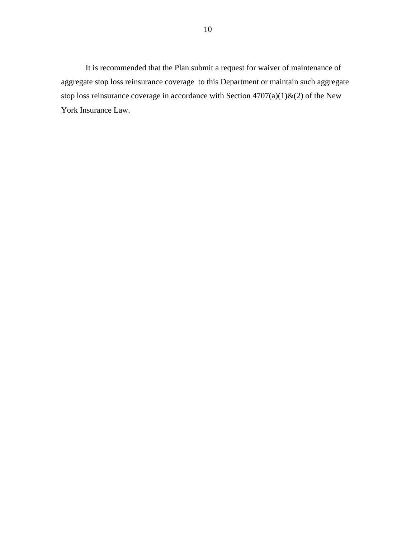It is recommended that the Plan submit a request for waiver of maintenance of aggregate stop loss reinsurance coverage to this Department or maintain such aggregate stop loss reinsurance coverage in accordance with Section 4707(a)(1)&(2) of the New York Insurance Law.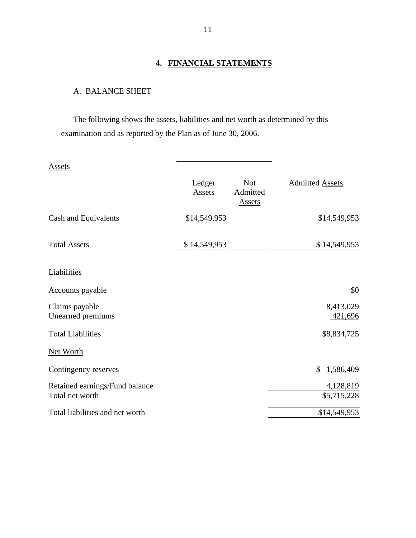## **4. FINANCIAL STATEMENTS**

# A. BALANCE SHEET

The following shows the assets, liabilities and net worth as determined by this examination and as reported by the Plan as of June 30, 2006.

| Assets                              |                  |                                         |                        |
|-------------------------------------|------------------|-----------------------------------------|------------------------|
|                                     | Ledger<br>Assets | <b>Not</b><br>Admitted<br><b>Assets</b> | <b>Admitted Assets</b> |
| Cash and Equivalents                | \$14,549,953     |                                         | \$14,549,953           |
| <b>Total Assets</b>                 | \$14,549,953     |                                         | \$14,549,953           |
| Liabilities                         |                  |                                         |                        |
| Accounts payable                    |                  |                                         | \$0                    |
| Claims payable<br>Unearned premiums |                  |                                         | 8,413,029<br>421,696   |
| <b>Total Liabilities</b>            |                  |                                         | \$8,834,725            |
| <b>Net Worth</b>                    |                  |                                         |                        |
| Contingency reserves                |                  |                                         | \$<br>1,586,409        |
| Retained earnings/Fund balance      |                  |                                         | 4,128,819              |
| Total net worth                     |                  |                                         | \$5,715,228            |
| Total liabilities and net worth     |                  |                                         | \$14,549,953           |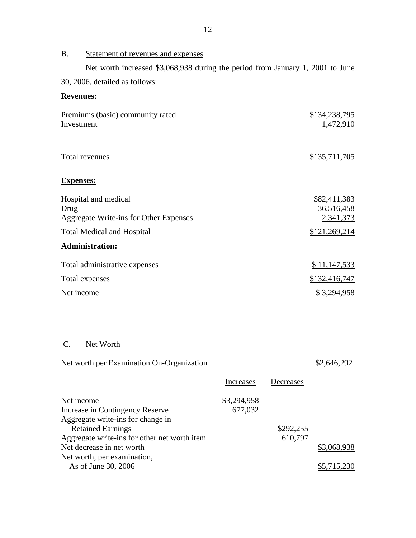# B. Statement of revenues and expenses

Net worth increased \$3,068,938 during the period from January 1, 2001 to June 30, 2006, detailed as follows:

# **Revenues:**

| Premiums (basic) community rated<br>Investment                         | \$134,238,795<br>1,472,910              |
|------------------------------------------------------------------------|-----------------------------------------|
| Total revenues                                                         | \$135,711,705                           |
| <b>Expenses:</b>                                                       |                                         |
| Hospital and medical<br>Drug<br>Aggregate Write-ins for Other Expenses | \$82,411,383<br>36,516,458<br>2,341,373 |
| <b>Total Medical and Hospital</b>                                      | \$121,269,214                           |
| <b>Administration:</b>                                                 |                                         |
| Total administrative expenses                                          | \$11,147,533                            |
| Total expenses                                                         | \$132,416,747                           |
| Net income                                                             | <u>\$3,294,958</u>                      |

## C. Net Worth

Net worth per Examination On-Organization  $$2,646,292$ 

| Increases   | Decreases |             |
|-------------|-----------|-------------|
| \$3,294,958 |           |             |
| 677,032     |           |             |
|             |           |             |
|             | \$292,255 |             |
|             | 610,797   |             |
|             |           | \$3,068,938 |
|             |           |             |
|             |           | \$5,715,230 |
|             |           |             |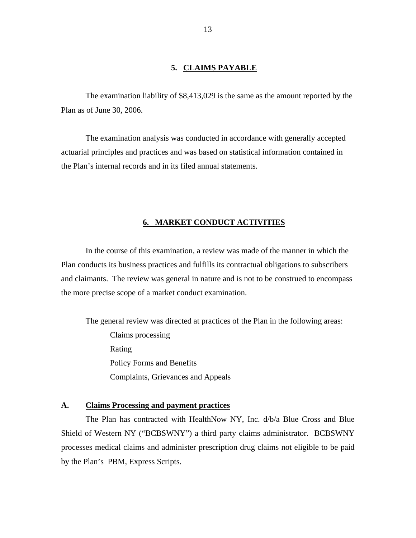#### **5. CLAIMS PAYABLE**

<span id="page-14-0"></span>The examination liability of \$8,413,029 is the same as the amount reported by the Plan as of June 30, 2006.

The examination analysis was conducted in accordance with generally accepted actuarial principles and practices and was based on statistical information contained in the Plan's internal records and in its filed annual statements.

#### **6. MARKET CONDUCT ACTIVITIES**

In the course of this examination, a review was made of the manner in which the Plan conducts its business practices and fulfills its contractual obligations to subscribers and claimants. The review was general in nature and is not to be construed to encompass the more precise scope of a market conduct examination.

The general review was directed at practices of the Plan in the following areas:

Claims processing Rating Policy Forms and Benefits Complaints, Grievances and Appeals

#### **A. Claims Processing and payment practices**

The Plan has contracted with HealthNow NY, Inc. d/b/a Blue Cross and Blue Shield of Western NY ("BCBSWNY") a third party claims administrator. BCBSWNY processes medical claims and administer prescription drug claims not eligible to be paid by the Plan's PBM, Express Scripts.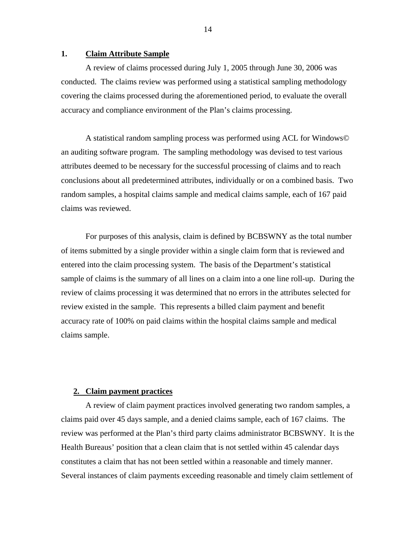#### **1. Claim Attribute Sample**

A review of claims processed during July 1, 2005 through June 30, 2006 was conducted. The claims review was performed using a statistical sampling methodology covering the claims processed during the aforementioned period, to evaluate the overall accuracy and compliance environment of the Plan's claims processing.

A statistical random sampling process was performed using ACL for Windows© an auditing software program. The sampling methodology was devised to test various attributes deemed to be necessary for the successful processing of claims and to reach conclusions about all predetermined attributes, individually or on a combined basis. Two random samples, a hospital claims sample and medical claims sample, each of 167 paid claims was reviewed.

For purposes of this analysis, claim is defined by BCBSWNY as the total number of items submitted by a single provider within a single claim form that is reviewed and entered into the claim processing system. The basis of the Department's statistical sample of claims is the summary of all lines on a claim into a one line roll-up. During the review of claims processing it was determined that no errors in the attributes selected for review existed in the sample. This represents a billed claim payment and benefit accuracy rate of 100% on paid claims within the hospital claims sample and medical claims sample.

#### **2. Claim payment practices**

A review of claim payment practices involved generating two random samples, a claims paid over 45 days sample, and a denied claims sample, each of 167 claims. The review was performed at the Plan's third party claims administrator BCBSWNY. It is the Health Bureaus' position that a clean claim that is not settled within 45 calendar days constitutes a claim that has not been settled within a reasonable and timely manner. Several instances of claim payments exceeding reasonable and timely claim settlement of

14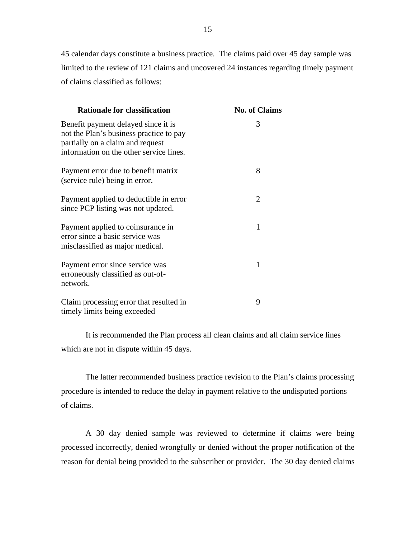45 calendar days constitute a business practice. The claims paid over 45 day sample was limited to the review of 121 claims and uncovered 24 instances regarding timely payment of claims classified as follows:

| <b>Rationale for classification</b>                                                                                                                           | <b>No. of Claims</b>  |
|---------------------------------------------------------------------------------------------------------------------------------------------------------------|-----------------------|
| Benefit payment delayed since it is<br>not the Plan's business practice to pay<br>partially on a claim and request<br>information on the other service lines. | 3                     |
| Payment error due to benefit matrix<br>(service rule) being in error.                                                                                         | 8                     |
| Payment applied to deductible in error<br>since PCP listing was not updated.                                                                                  | $\mathcal{D}_{\cdot}$ |
| Payment applied to coinsurance in<br>error since a basic service was<br>misclassified as major medical.                                                       | 1                     |
| Payment error since service was<br>erroneously classified as out-of-<br>network.                                                                              | 1                     |
| Claim processing error that resulted in<br>timely limits being exceeded                                                                                       | 9                     |

It is recommended the Plan process all clean claims and all claim service lines which are not in dispute within 45 days.

The latter recommended business practice revision to the Plan's claims processing procedure is intended to reduce the delay in payment relative to the undisputed portions of claims.

A 30 day denied sample was reviewed to determine if claims were being processed incorrectly, denied wrongfully or denied without the proper notification of the reason for denial being provided to the subscriber or provider. The 30 day denied claims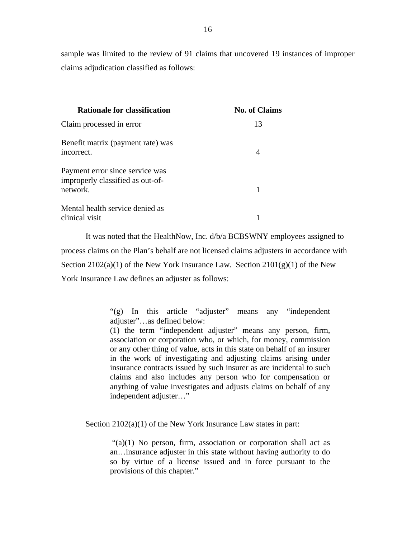sample was limited to the review of 91 claims that uncovered 19 instances of improper claims adjudication classified as follows:

| <b>Rationale for classification</b>                                             | <b>No. of Claims</b> |
|---------------------------------------------------------------------------------|----------------------|
| Claim processed in error                                                        | 13                   |
| Benefit matrix (payment rate) was<br>incorrect.                                 | 4                    |
| Payment error since service was<br>improperly classified as out-of-<br>network. |                      |
| Mental health service denied as<br>clinical visit                               |                      |

It was noted that the HealthNow, Inc. d/b/a BCBSWNY employees assigned to process claims on the Plan's behalf are not licensed claims adjusters in accordance with Section  $2102(a)(1)$  of the New York Insurance Law. Section  $2101(g)(1)$  of the New York Insurance Law defines an adjuster as follows:

> "(g) In this article "adjuster" means any "independent adjuster"…as defined below:

> (1) the term "independent adjuster" means any person, firm, association or corporation who, or which, for money, commission or any other thing of value, acts in this state on behalf of an insurer in the work of investigating and adjusting claims arising under insurance contracts issued by such insurer as are incidental to such claims and also includes any person who for compensation or anything of value investigates and adjusts claims on behalf of any independent adjuster…"

Section  $2102(a)(1)$  of the New York Insurance Law states in part:

"(a)(1) No person, firm, association or corporation shall act as an…insurance adjuster in this state without having authority to do so by virtue of a license issued and in force pursuant to the provisions of this chapter."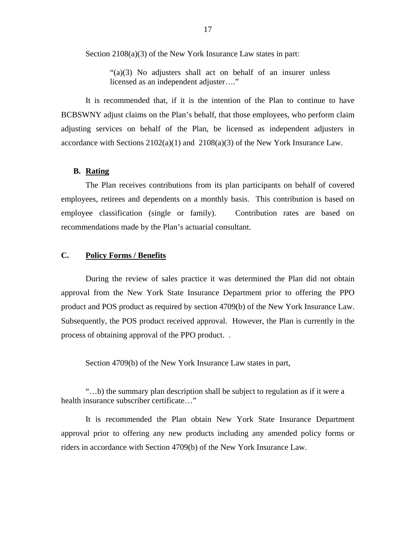<span id="page-18-0"></span>Section 2108(a)(3) of the New York Insurance Law states in part:

"(a)(3) No adjusters shall act on behalf of an insurer unless licensed as an independent adjuster…."

 BCBSWNY adjust claims on the Plan's behalf, that those employees, who perform claim It is recommended that, if it is the intention of the Plan to continue to have adjusting services on behalf of the Plan, be licensed as independent adjusters in accordance with Sections  $2102(a)(1)$  and  $2108(a)(3)$  of the New York Insurance Law.

#### **B. Rating**

The Plan receives contributions from its plan participants on behalf of covered employees, retirees and dependents on a monthly basis. This contribution is based on employee classification (single or family). Contribution rates are based on recommendations made by the Plan's actuarial consultant.

#### **C. Policy Forms / Benefits**

During the review of sales practice it was determined the Plan did not obtain approval from the New York State Insurance Department prior to offering the PPO product and POS product as required by section 4709(b) of the New York Insurance Law. Subsequently, the POS product received approval. However, the Plan is currently in the process of obtaining approval of the PPO product. .

Section 4709(b) of the New York Insurance Law states in part,

"…b) the summary plan description shall be subject to regulation as if it were a health insurance subscriber certificate…"

It is recommended the Plan obtain New York State Insurance Department approval prior to offering any new products including any amended policy forms or riders in accordance with Section 4709(b) of the New York Insurance Law.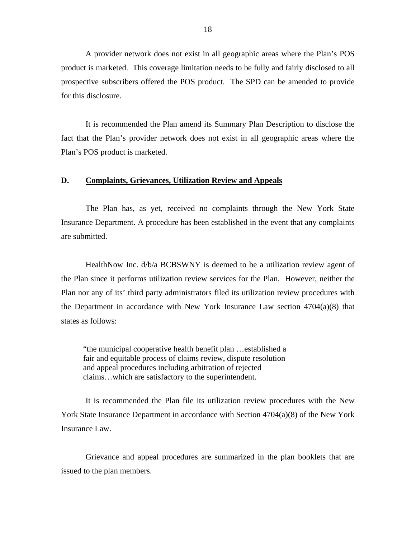<span id="page-19-0"></span>A provider network does not exist in all geographic areas where the Plan's POS product is marketed. This coverage limitation needs to be fully and fairly disclosed to all prospective subscribers offered the POS product. The SPD can be amended to provide for this disclosure.

It is recommended the Plan amend its Summary Plan Description to disclose the fact that the Plan's provider network does not exist in all geographic areas where the Plan's POS product is marketed.

#### **D. Complaints, Grievances, Utilization Review and Appeals**

The Plan has, as yet, received no complaints through the New York State Insurance Department. A procedure has been established in the event that any complaints are submitted.

HealthNow Inc. d/b/a BCBSWNY is deemed to be a utilization review agent of the Plan since it performs utilization review services for the Plan. However, neither the Plan nor any of its' third party administrators filed its utilization review procedures with the Department in accordance with New York Insurance Law section 4704(a)(8) that states as follows:

"the municipal cooperative health benefit plan …established a fair and equitable process of claims review, dispute resolution and appeal procedures including arbitration of rejected claims…which are satisfactory to the superintendent.

It is recommended the Plan file its utilization review procedures with the New York State Insurance Department in accordance with Section 4704(a)(8) of the New York Insurance Law.

Grievance and appeal procedures are summarized in the plan booklets that are issued to the plan members.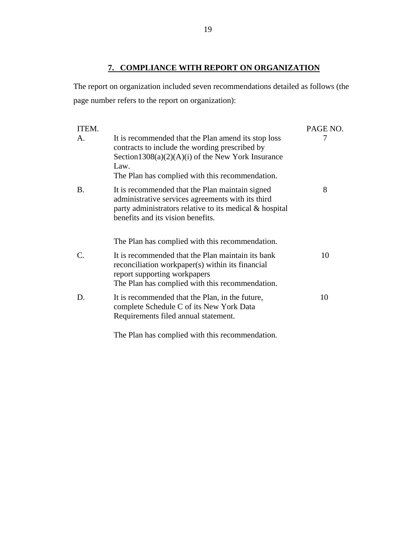### **7. COMPLIANCE WITH REPORT ON ORGANIZATION**

<span id="page-20-0"></span>The report on organization included seven recommendations detailed as follows (the page number refers to the report on organization):

| ITEM.                 |                                                                                                                                                                                                                                                            | PAGE NO. |
|-----------------------|------------------------------------------------------------------------------------------------------------------------------------------------------------------------------------------------------------------------------------------------------------|----------|
| $\mathsf{A}$ .        | It is recommended that the Plan amend its stop loss<br>contracts to include the wording prescribed by<br>Section $1308(a)(2)(A)(i)$ of the New York Insurance<br>Law.<br>The Plan has complied with this recommendation.                                   | 7        |
| <b>B.</b>             | It is recommended that the Plan maintain signed<br>administrative services agreements with its third<br>party administrators relative to its medical $\&$ hospital<br>benefits and its vision benefits.<br>The Plan has complied with this recommendation. | 8        |
|                       |                                                                                                                                                                                                                                                            |          |
| $\mathcal{C}_{\cdot}$ | It is recommended that the Plan maintain its bank<br>reconciliation workpaper(s) within its financial<br>report supporting workpapers<br>The Plan has complied with this recommendation.                                                                   | 10       |
| D.                    | It is recommended that the Plan, in the future,<br>complete Schedule C of its New York Data<br>Requirements filed annual statement.                                                                                                                        | 10       |

The Plan has complied with this recommendation.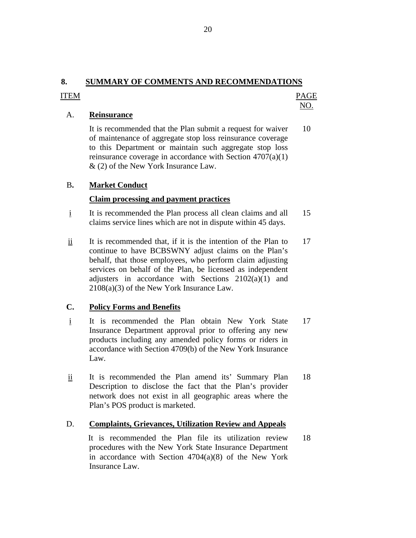# <span id="page-21-0"></span>**8. SUMMARY OF COMMENTS AND RECOMMENDATIONS**

#### ITEM PAGE NO.

#### A. **Reinsurance**

It is recommended that the Plan submit a request for waiver 10 of maintenance of aggregate stop loss reinsurance coverage to this Department or maintain such aggregate stop loss reinsurance coverage in accordance with Section 4707(a)(1) & (2) of the New York Insurance Law.

#### **Market Conduct**

# **B.** Market Conduct Conduct Claim processing and payment practices

- i It is recommended the Plan process all clean claims and all 15 claims service lines which are not in dispute within 45 days.
- adjusters in accordance with Sections  $2102(a)(1)$  and  $2108(a)(3)$  of the New York Insurance Law. ii It is recommended that, if it is the intention of the Plan to 17 continue to have BCBSWNY adjust claims on the Plan's behalf, that those employees, who perform claim adjusting services on behalf of the Plan, be licensed as independent

#### **C. Policy Forms and Benefits**

- i It is recommended the Plan obtain New York State 17 Insurance Department approval prior to offering any new products including any amended policy forms or riders in accordance with Section 4709(b) of the New York Insurance Law.
- ii It is recommended the Plan amend its' Summary Plan 18 Description to disclose the fact that the Plan's provider network does not exist in all geographic areas where the Plan's POS product is marketed.

#### D. **Complaints, Grievances, Utilization Review and Appeals**

It is recommended the Plan file its utilization review 18 procedures with the New York State Insurance Department in accordance with Section 4704(a)(8) of the New York Insurance Law.